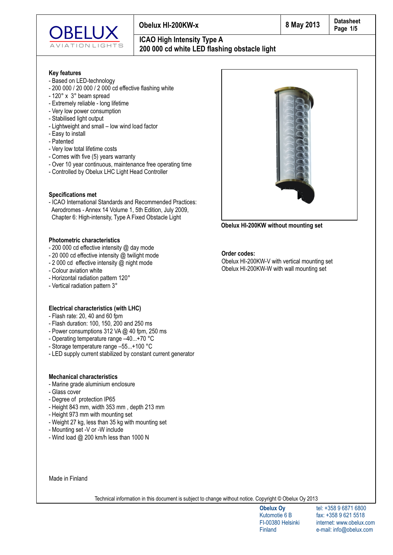

## **ICAO High Intensity Type A 200 000 cd white LED flashing obstacle light**

### **Key features**

- Based on LED-technology
- 200 000 / 20 000 / 2 000 cd effective flashing white
- 120° x 3° beam spread
- Extremely reliable long lifetime
- Very low power consumption
- Stabilised light output
- Lightweight and small low wind load factor
- Easy to install
- Patented
- Very low total lifetime costs
- Comes with five (5) years warranty
- Over 10 year continuous, maintenance free operating time
- Controlled by Obelux LHC Light Head Controller

### **Specifications met**

- ICAO International Standards and Recommended Practices: Aerodromes - Annex 14 Volume 1, 5th Edition, July 2009, Chapter 6: High-intensity, Type A Fixed Obstacle Light

### **Photometric characteristics**

- 200 000 cd effective intensity @ day mode
- 20 000 cd effective intensity @ twilight mode
- 2 000 cd effective intensity @ night mode
- Colour aviation white
- Horizontal radiation pattern 120°
- Vertical radiation pattern 3°

### **Electrical characteristics (with LHC)**

- Flash rate: 20, 40 and 60 fpm
- Flash duration: 100, 150, 200 and 250 ms
- Power consumptions 312 VA @ 40 fpm, 250 ms
- Operating temperature range –40...+70 °C
- Storage temperature range –55...+100 °C
- LED supply current stabilized by constant current generator

### **Mechanical characteristics**

- Marine grade aluminium enclosure
- Glass cover
- Degree of protection IP65
- Height 843 mm, width 353 mm , depth 213 mm
- Height 973 mm with mounting set
- Weight 27 kg, less than 35 kg with mounting set
- Mounting set -V or -W include
- Wind load @ 200 km/h less than 1000 N

Made in Finland

Technical information in this document is subject to change without notice. Copyright © Obelux Oy 2013

**Obelux Oy** Kutomotie 6 B FI-00380 Helsinki Finland

tel: +358 9 6871 6800 fax: +358 9 621 5518 internet: www.obelux.com e-mail: info@obelux.com



**Obelux HI-200KW without mounting set**

**Order codes:**

Obelux HI-200KW-V with vertical mounting set Obelux HI-200KW-W with wall mounting set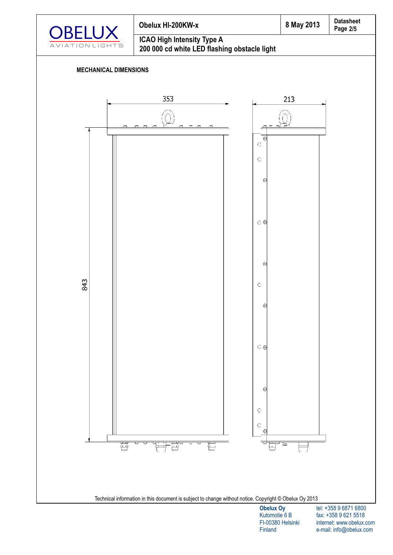

# **Page Obelux HI-200KW-x 8 May 2013 ICAO High Intensity Type A**



## **MECHANICAL DIMENSIONS**

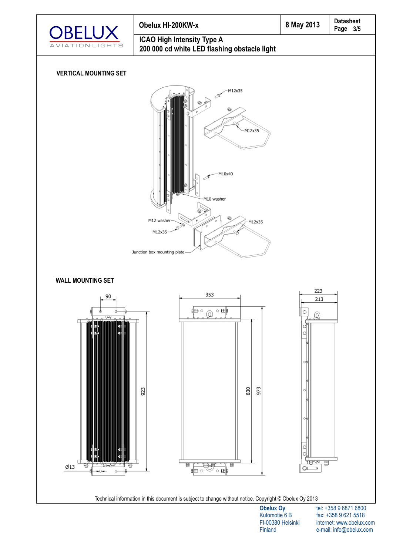





FI-00380 Helsinki Finland

fax: +358 9 621 5518 internet: www.obelux.com e-mail: info@obelux.com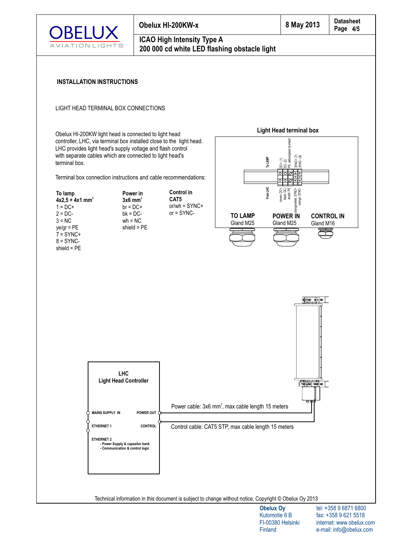

**Control in CAT5** or/wh = SYNC+ or = SYNC-

### **ICAO High Intensity Type A 200 000 cd white LED flashing obstacle light**

### **INSTALLATION INSTRUCTIONS**

### LIGHT HEAD TERMINAL BOX CONNECTIONS

Obelux HI-200KW light head is connected to light head controller, LHC, via terminal box installed close to the light head. LHC provides light head's supply voltage and flash control with separate cables which are connected to light head's terminal box.

Terminal box connection instructions and cable recommendations:



**Power in 2 3x6 mm**  $br = DC +$  $bk = DC$  $wh = NC$ shield = PE





Technical information in this document is subject to change without notice. Copyright © Obelux Oy 2013

tel: +358 9 6871 6800 fax: +358 9 621 5518 internet: www.obelux.com e-mail: info@obelux.com